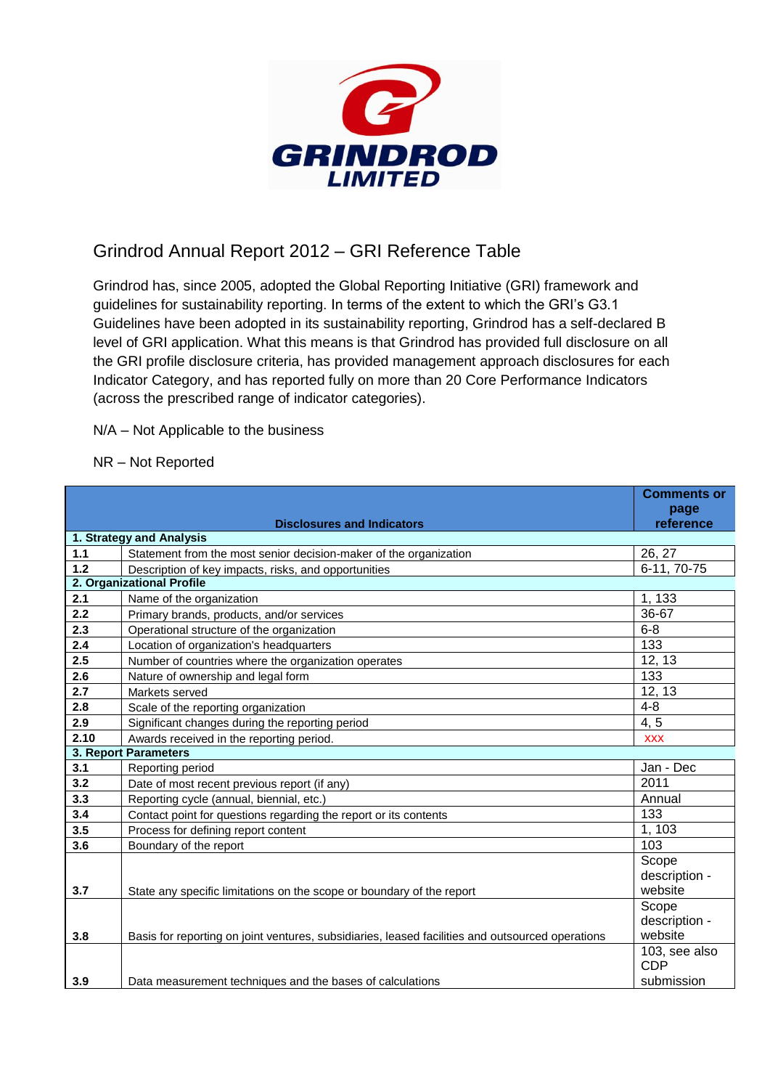

## Grindrod Annual Report 2012 – GRI Reference Table

Grindrod has, since 2005, adopted the Global Reporting Initiative (GRI) framework and guidelines for sustainability reporting. In terms of the extent to which the GRI's G3.1 Guidelines have been adopted in its sustainability reporting, Grindrod has a self-declared B level of GRI application. What this means is that Grindrod has provided full disclosure on all the GRI profile disclosure criteria, has provided management approach disclosures for each Indicator Category, and has reported fully on more than 20 Core Performance Indicators (across the prescribed range of indicator categories).

N/A – Not Applicable to the business

NR – Not Reported

|                           |                                                                                                  | <b>Comments or</b> |
|---------------------------|--------------------------------------------------------------------------------------------------|--------------------|
|                           | <b>Disclosures and Indicators</b>                                                                | page<br>reference  |
|                           | 1. Strategy and Analysis                                                                         |                    |
| 1.1                       | Statement from the most senior decision-maker of the organization                                | 26, 27             |
| $1.2$                     | Description of key impacts, risks, and opportunities                                             | $6-11, 70-75$      |
| 2. Organizational Profile |                                                                                                  |                    |
| 2.1                       | Name of the organization                                                                         | 1, 133             |
| 2.2                       | Primary brands, products, and/or services                                                        | 36-67              |
| 2.3                       | Operational structure of the organization                                                        | $6 - 8$            |
| 2.4                       | Location of organization's headquarters                                                          | 133                |
| 2.5                       | Number of countries where the organization operates                                              | 12, 13             |
| 2.6                       | Nature of ownership and legal form                                                               | 133                |
| 2.7                       | Markets served                                                                                   | 12, 13             |
| 2.8                       | Scale of the reporting organization                                                              | $4 - 8$            |
| 2.9                       | Significant changes during the reporting period                                                  | 4, 5               |
| 2.10                      | Awards received in the reporting period.                                                         | <b>XXX</b>         |
|                           | 3. Report Parameters                                                                             |                    |
| 3.1                       | Reporting period                                                                                 | Jan - Dec          |
| 3.2                       | Date of most recent previous report (if any)                                                     | 2011               |
| 3.3                       | Reporting cycle (annual, biennial, etc.)                                                         | Annual             |
| 3.4                       | Contact point for questions regarding the report or its contents                                 | 133                |
| 3.5                       | Process for defining report content                                                              | 1, 103             |
| 3.6                       | Boundary of the report                                                                           | 103                |
|                           |                                                                                                  | Scope              |
|                           |                                                                                                  | description -      |
| 3.7                       | State any specific limitations on the scope or boundary of the report                            | website            |
|                           |                                                                                                  | Scope              |
|                           |                                                                                                  | description -      |
| 3.8                       | Basis for reporting on joint ventures, subsidiaries, leased facilities and outsourced operations | website            |
|                           |                                                                                                  | 103, see also      |
|                           |                                                                                                  | <b>CDP</b>         |
| 3.9                       | Data measurement techniques and the bases of calculations                                        | submission         |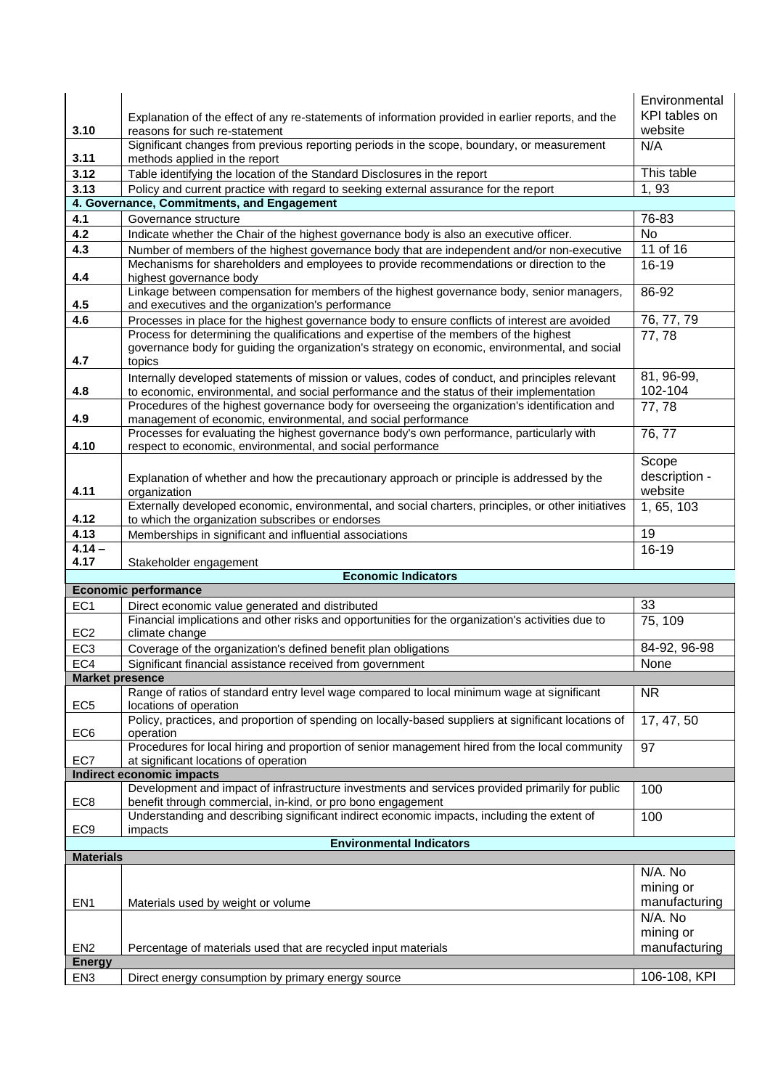|                                 |                                                                                                                                                                                                    | Environmental              |  |
|---------------------------------|----------------------------------------------------------------------------------------------------------------------------------------------------------------------------------------------------|----------------------------|--|
|                                 | Explanation of the effect of any re-statements of information provided in earlier reports, and the                                                                                                 | KPI tables on              |  |
| 3.10                            | reasons for such re-statement<br>Significant changes from previous reporting periods in the scope, boundary, or measurement                                                                        | website<br>N/A             |  |
| 3.11                            | methods applied in the report                                                                                                                                                                      |                            |  |
| 3.12                            | Table identifying the location of the Standard Disclosures in the report                                                                                                                           | This table                 |  |
| 3.13                            | Policy and current practice with regard to seeking external assurance for the report                                                                                                               | 1,93                       |  |
|                                 | 4. Governance, Commitments, and Engagement                                                                                                                                                         |                            |  |
| 4.1                             | Governance structure                                                                                                                                                                               | 76-83                      |  |
| 4.2                             | Indicate whether the Chair of the highest governance body is also an executive officer.                                                                                                            | No                         |  |
| 4.3                             | Number of members of the highest governance body that are independent and/or non-executive                                                                                                         | 11 of 16                   |  |
| 4.4                             | Mechanisms for shareholders and employees to provide recommendations or direction to the<br>highest governance body                                                                                | $16 - 19$                  |  |
| 4.5                             | Linkage between compensation for members of the highest governance body, senior managers,<br>and executives and the organization's performance                                                     | 86-92                      |  |
| 4.6                             | Processes in place for the highest governance body to ensure conflicts of interest are avoided                                                                                                     | 76, 77, 79                 |  |
| 4.7                             | Process for determining the qualifications and expertise of the members of the highest<br>governance body for guiding the organization's strategy on economic, environmental, and social<br>topics | 77,78                      |  |
| 4.8                             | Internally developed statements of mission or values, codes of conduct, and principles relevant<br>to economic, environmental, and social performance and the status of their implementation       | 81, 96-99,<br>102-104      |  |
| 4.9                             | Procedures of the highest governance body for overseeing the organization's identification and<br>management of economic, environmental, and social performance                                    | $\overline{77}$ , 78       |  |
| 4.10                            | Processes for evaluating the highest governance body's own performance, particularly with<br>respect to economic, environmental, and social performance                                            | 76, 77                     |  |
|                                 |                                                                                                                                                                                                    | Scope                      |  |
| 4.11                            | Explanation of whether and how the precautionary approach or principle is addressed by the<br>organization                                                                                         | description -<br>website   |  |
| 4.12                            | Externally developed economic, environmental, and social charters, principles, or other initiatives<br>to which the organization subscribes or endorses                                            | 1, 65, 103                 |  |
| 4.13                            | Memberships in significant and influential associations                                                                                                                                            | 19                         |  |
| $4.14 -$<br>4.17                |                                                                                                                                                                                                    | $16 - 19$                  |  |
|                                 | Stakeholder engagement<br><b>Economic Indicators</b>                                                                                                                                               |                            |  |
|                                 | <b>Economic performance</b>                                                                                                                                                                        |                            |  |
| EC <sub>1</sub>                 | Direct economic value generated and distributed                                                                                                                                                    | 33                         |  |
| EC <sub>2</sub>                 | Financial implications and other risks and opportunities for the organization's activities due to<br>climate change                                                                                | 75, 109                    |  |
| EC <sub>3</sub>                 | Coverage of the organization's defined benefit plan obligations                                                                                                                                    | 84-92, 96-98               |  |
| EC4                             | Significant financial assistance received from government                                                                                                                                          | None                       |  |
| <b>Market presence</b>          |                                                                                                                                                                                                    |                            |  |
| EC <sub>5</sub>                 | Range of ratios of standard entry level wage compared to local minimum wage at significant<br>locations of operation                                                                               | <b>NR</b>                  |  |
| EC <sub>6</sub>                 | Policy, practices, and proportion of spending on locally-based suppliers at significant locations of<br>operation                                                                                  | 17, 47, 50                 |  |
| EC7                             | Procedures for local hiring and proportion of senior management hired from the local community<br>at significant locations of operation                                                            | 97                         |  |
|                                 | <b>Indirect economic impacts</b>                                                                                                                                                                   |                            |  |
| EC <sub>8</sub>                 | Development and impact of infrastructure investments and services provided primarily for public<br>benefit through commercial, in-kind, or pro bono engagement                                     | 100                        |  |
| EC <sub>9</sub>                 | Understanding and describing significant indirect economic impacts, including the extent of<br>impacts                                                                                             | 100                        |  |
| <b>Environmental Indicators</b> |                                                                                                                                                                                                    |                            |  |
| <b>Materials</b>                |                                                                                                                                                                                                    | N/A. No                    |  |
| EN <sub>1</sub>                 | Materials used by weight or volume                                                                                                                                                                 | mining or<br>manufacturing |  |
|                                 |                                                                                                                                                                                                    | N/A. No                    |  |
|                                 |                                                                                                                                                                                                    | mining or                  |  |
| EN <sub>2</sub>                 |                                                                                                                                                                                                    |                            |  |
|                                 |                                                                                                                                                                                                    | manufacturing              |  |
| <b>Energy</b>                   | Percentage of materials used that are recycled input materials                                                                                                                                     |                            |  |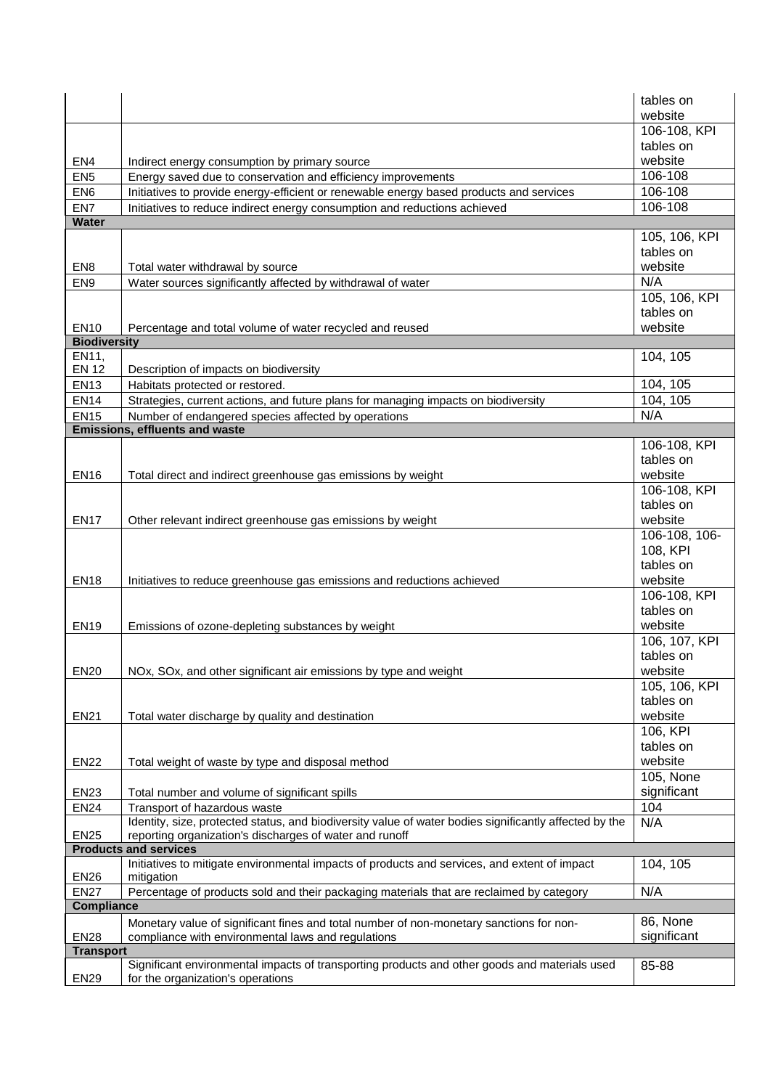|                     |                                                                                                                                                                   | tables on<br>website       |
|---------------------|-------------------------------------------------------------------------------------------------------------------------------------------------------------------|----------------------------|
|                     |                                                                                                                                                                   | 106-108, KPI               |
|                     |                                                                                                                                                                   | tables on                  |
| EN <sub>4</sub>     | Indirect energy consumption by primary source                                                                                                                     | website                    |
| EN <sub>5</sub>     | Energy saved due to conservation and efficiency improvements                                                                                                      | 106-108                    |
| EN <sub>6</sub>     | Initiatives to provide energy-efficient or renewable energy based products and services                                                                           | 106-108                    |
| EN7                 | Initiatives to reduce indirect energy consumption and reductions achieved                                                                                         | 106-108                    |
| Water               |                                                                                                                                                                   |                            |
|                     |                                                                                                                                                                   | 105, 106, KPI              |
|                     |                                                                                                                                                                   | tables on                  |
| EN <sub>8</sub>     | Total water withdrawal by source                                                                                                                                  | website<br>N/A             |
| EN <sub>9</sub>     | Water sources significantly affected by withdrawal of water                                                                                                       |                            |
|                     |                                                                                                                                                                   | 105, 106, KPI<br>tables on |
| <b>EN10</b>         | Percentage and total volume of water recycled and reused                                                                                                          | website                    |
| <b>Biodiversity</b> |                                                                                                                                                                   |                            |
| EN11,               |                                                                                                                                                                   | 104, 105                   |
| <b>EN 12</b>        | Description of impacts on biodiversity                                                                                                                            |                            |
| <b>EN13</b>         | Habitats protected or restored.                                                                                                                                   | 104, 105                   |
| <b>EN14</b>         | Strategies, current actions, and future plans for managing impacts on biodiversity                                                                                | 104, 105                   |
| <b>EN15</b>         | Number of endangered species affected by operations                                                                                                               | N/A                        |
|                     | Emissions, effluents and waste                                                                                                                                    |                            |
|                     |                                                                                                                                                                   | 106-108, KPI               |
|                     |                                                                                                                                                                   | tables on                  |
| <b>EN16</b>         | Total direct and indirect greenhouse gas emissions by weight                                                                                                      | website                    |
|                     |                                                                                                                                                                   | 106-108, KPI               |
|                     |                                                                                                                                                                   | tables on                  |
| <b>EN17</b>         | Other relevant indirect greenhouse gas emissions by weight                                                                                                        | website                    |
|                     |                                                                                                                                                                   | 106-108, 106-              |
|                     |                                                                                                                                                                   | 108, KPI<br>tables on      |
|                     |                                                                                                                                                                   | website                    |
| <b>EN18</b>         | Initiatives to reduce greenhouse gas emissions and reductions achieved                                                                                            | 106-108, KPI               |
|                     |                                                                                                                                                                   | tables on                  |
| <b>EN19</b>         | Emissions of ozone-depleting substances by weight                                                                                                                 | website                    |
|                     |                                                                                                                                                                   | 106, 107, KPI              |
|                     |                                                                                                                                                                   | tables on                  |
| <b>EN20</b>         | NOx, SOx, and other significant air emissions by type and weight                                                                                                  | website                    |
|                     |                                                                                                                                                                   | 105, 106, KPI              |
|                     |                                                                                                                                                                   | tables on                  |
| <b>EN21</b>         | Total water discharge by quality and destination                                                                                                                  | website                    |
|                     |                                                                                                                                                                   | 106, KPI                   |
|                     |                                                                                                                                                                   | tables on                  |
| <b>EN22</b>         | Total weight of waste by type and disposal method                                                                                                                 | website                    |
|                     |                                                                                                                                                                   | 105, None                  |
| <b>EN23</b>         | Total number and volume of significant spills                                                                                                                     | significant                |
| <b>EN24</b>         | Transport of hazardous waste                                                                                                                                      | 104                        |
| <b>EN25</b>         | Identity, size, protected status, and biodiversity value of water bodies significantly affected by the<br>reporting organization's discharges of water and runoff | N/A                        |
|                     | <b>Products and services</b>                                                                                                                                      |                            |
|                     | Initiatives to mitigate environmental impacts of products and services, and extent of impact                                                                      | 104, 105                   |
| <b>EN26</b>         | mitigation                                                                                                                                                        |                            |
| <b>EN27</b>         | Percentage of products sold and their packaging materials that are reclaimed by category                                                                          | N/A                        |
| <b>Compliance</b>   |                                                                                                                                                                   |                            |
|                     | Monetary value of significant fines and total number of non-monetary sanctions for non-                                                                           | 86, None                   |
| <b>EN28</b>         | compliance with environmental laws and regulations                                                                                                                | significant                |
| <b>Transport</b>    |                                                                                                                                                                   |                            |
| <b>EN29</b>         | Significant environmental impacts of transporting products and other goods and materials used<br>for the organization's operations                                | 85-88                      |
|                     |                                                                                                                                                                   |                            |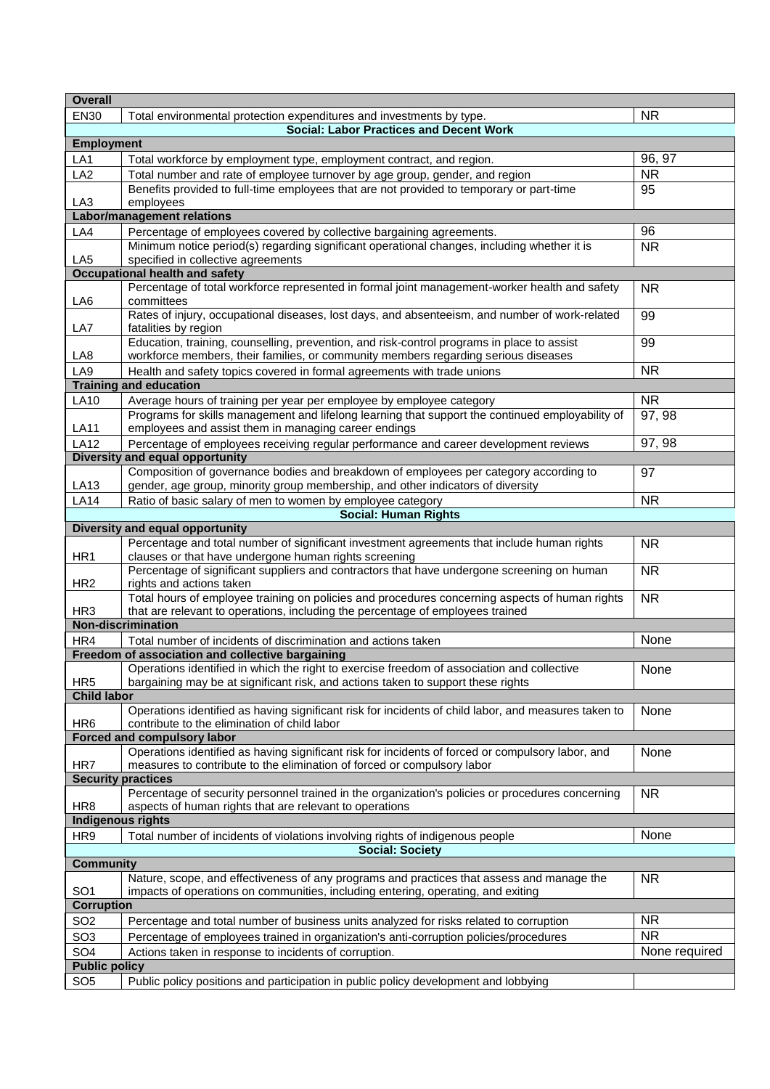| <b>Overall</b>                        |                                                                                                                                                                                  |               |  |  |
|---------------------------------------|----------------------------------------------------------------------------------------------------------------------------------------------------------------------------------|---------------|--|--|
| <b>EN30</b>                           | Total environmental protection expenditures and investments by type.                                                                                                             | <b>NR</b>     |  |  |
|                                       | <b>Social: Labor Practices and Decent Work</b>                                                                                                                                   |               |  |  |
| <b>Employment</b>                     |                                                                                                                                                                                  |               |  |  |
| LA1                                   | Total workforce by employment type, employment contract, and region.                                                                                                             | 96, 97        |  |  |
| LA <sub>2</sub>                       | Total number and rate of employee turnover by age group, gender, and region                                                                                                      | <b>NR</b>     |  |  |
|                                       | Benefits provided to full-time employees that are not provided to temporary or part-time                                                                                         | 95            |  |  |
| LA <sub>3</sub>                       | employees                                                                                                                                                                        |               |  |  |
|                                       | <b>Labor/management relations</b>                                                                                                                                                |               |  |  |
| LA4                                   | Percentage of employees covered by collective bargaining agreements.                                                                                                             | 96            |  |  |
|                                       | Minimum notice period(s) regarding significant operational changes, including whether it is                                                                                      | <b>NR</b>     |  |  |
| LA <sub>5</sub>                       | specified in collective agreements                                                                                                                                               |               |  |  |
|                                       | <b>Occupational health and safety</b>                                                                                                                                            |               |  |  |
| LA6                                   | Percentage of total workforce represented in formal joint management-worker health and safety<br>committees                                                                      | <b>NR</b>     |  |  |
| LA7                                   | Rates of injury, occupational diseases, lost days, and absenteeism, and number of work-related<br>fatalities by region                                                           | 99            |  |  |
| LA8                                   | Education, training, counselling, prevention, and risk-control programs in place to assist<br>workforce members, their families, or community members regarding serious diseases | 99            |  |  |
| LA9                                   | Health and safety topics covered in formal agreements with trade unions                                                                                                          | <b>NR</b>     |  |  |
|                                       | <b>Training and education</b>                                                                                                                                                    |               |  |  |
| <b>LA10</b>                           | Average hours of training per year per employee by employee category                                                                                                             | <b>NR</b>     |  |  |
|                                       | Programs for skills management and lifelong learning that support the continued employability of                                                                                 | 97, 98        |  |  |
| <b>LA11</b>                           | employees and assist them in managing career endings                                                                                                                             |               |  |  |
| <b>LA12</b>                           | Percentage of employees receiving regular performance and career development reviews                                                                                             | 97, 98        |  |  |
|                                       | Diversity and equal opportunity                                                                                                                                                  |               |  |  |
| LA13                                  | Composition of governance bodies and breakdown of employees per category according to<br>gender, age group, minority group membership, and other indicators of diversity         | 97            |  |  |
| <b>LA14</b>                           | Ratio of basic salary of men to women by employee category                                                                                                                       | <b>NR</b>     |  |  |
|                                       | <b>Social: Human Rights</b>                                                                                                                                                      |               |  |  |
|                                       | Diversity and equal opportunity                                                                                                                                                  |               |  |  |
|                                       | Percentage and total number of significant investment agreements that include human rights                                                                                       | <b>NR</b>     |  |  |
| HR1                                   | clauses or that have undergone human rights screening                                                                                                                            |               |  |  |
| HR <sub>2</sub>                       | Percentage of significant suppliers and contractors that have undergone screening on human<br>rights and actions taken                                                           | <b>NR</b>     |  |  |
| HR <sub>3</sub>                       | Total hours of employee training on policies and procedures concerning aspects of human rights<br>that are relevant to operations, including the percentage of employees trained | <b>NR</b>     |  |  |
|                                       | <b>Non-discrimination</b>                                                                                                                                                        |               |  |  |
| HR4                                   | Total number of incidents of discrimination and actions taken                                                                                                                    | None          |  |  |
|                                       | Freedom of association and collective bargaining                                                                                                                                 |               |  |  |
|                                       | Operations identified in which the right to exercise freedom of association and collective                                                                                       | None          |  |  |
| HR <sub>5</sub><br><b>Child labor</b> | bargaining may be at significant risk, and actions taken to support these rights                                                                                                 |               |  |  |
|                                       | Operations identified as having significant risk for incidents of child labor, and measures taken to                                                                             | None          |  |  |
| HR <sub>6</sub>                       | contribute to the elimination of child labor                                                                                                                                     |               |  |  |
|                                       | Forced and compulsory labor<br>Operations identified as having significant risk for incidents of forced or compulsory labor, and                                                 | None          |  |  |
| HR7                                   | measures to contribute to the elimination of forced or compulsory labor                                                                                                          |               |  |  |
|                                       | <b>Security practices</b>                                                                                                                                                        |               |  |  |
| HR <sub>8</sub>                       | Percentage of security personnel trained in the organization's policies or procedures concerning<br>aspects of human rights that are relevant to operations                      | <b>NR</b>     |  |  |
|                                       | <b>Indigenous rights</b>                                                                                                                                                         |               |  |  |
| HR <sub>9</sub>                       | Total number of incidents of violations involving rights of indigenous people                                                                                                    | None          |  |  |
|                                       | <b>Social: Society</b>                                                                                                                                                           |               |  |  |
| <b>Community</b>                      |                                                                                                                                                                                  |               |  |  |
| SO <sub>1</sub>                       | Nature, scope, and effectiveness of any programs and practices that assess and manage the<br>impacts of operations on communities, including entering, operating, and exiting    | <b>NR</b>     |  |  |
| <b>Corruption</b>                     |                                                                                                                                                                                  |               |  |  |
| SO <sub>2</sub>                       | Percentage and total number of business units analyzed for risks related to corruption                                                                                           | <b>NR</b>     |  |  |
| SO <sub>3</sub>                       | Percentage of employees trained in organization's anti-corruption policies/procedures                                                                                            | <b>NR</b>     |  |  |
| SO <sub>4</sub>                       | Actions taken in response to incidents of corruption.                                                                                                                            | None required |  |  |
| <b>Public policy</b>                  |                                                                                                                                                                                  |               |  |  |
| SO <sub>5</sub>                       | Public policy positions and participation in public policy development and lobbying                                                                                              |               |  |  |
|                                       |                                                                                                                                                                                  |               |  |  |